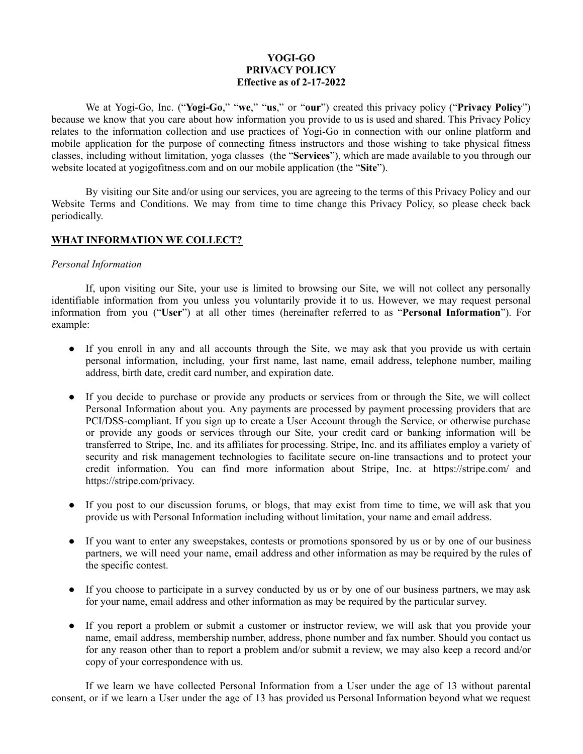## **YOGI-GO PRIVACY POLICY Effective as of 2-17-2022**

We at Yogi-Go, Inc. ("**Yogi-Go**," "**we**," "**us**," or "**our**") created this privacy policy ("**Privacy Policy**") because we know that you care about how information you provide to us is used and shared. This Privacy Policy relates to the information collection and use practices of Yogi-Go in connection with our online platform and mobile application for the purpose of connecting fitness instructors and those wishing to take physical fitness classes, including without limitation, yoga classes (the "**Services**"), which are made available to you through our website located at yogigofitness.com and on our mobile application (the "**Site**").

By visiting our Site and/or using our services, you are agreeing to the terms of this Privacy Policy and our Website Terms and Conditions. We may from time to time change this Privacy Policy, so please check back periodically.

## **WHAT INFORMATION WE COLLECT?**

## *Personal Information*

If, upon visiting our Site, your use is limited to browsing our Site, we will not collect any personally identifiable information from you unless you voluntarily provide it to us. However, we may request personal information from you ("**User**") at all other times (hereinafter referred to as "**Personal Information**"). For example:

- If you enroll in any and all accounts through the Site, we may ask that you provide us with certain personal information, including, your first name, last name, email address, telephone number, mailing address, birth date, credit card number, and expiration date.
- If you decide to purchase or provide any products or services from or through the Site, we will collect Personal Information about you. Any payments are processed by payment processing providers that are PCI/DSS-compliant. If you sign up to create a User Account through the Service, or otherwise purchase or provide any goods or services through our Site, your credit card or banking information will be transferred to Stripe, Inc. and its affiliates for processing. Stripe, Inc. and its affiliates employ a variety of security and risk management technologies to facilitate secure on-line transactions and to protect your credit information. You can find more information about Stripe, Inc. at https://stripe.com/ and https://stripe.com/privacy.
- If you post to our discussion forums, or blogs, that may exist from time to time, we will ask that you provide us with Personal Information including without limitation, your name and email address.
- If you want to enter any sweepstakes, contests or promotions sponsored by us or by one of our business partners, we will need your name, email address and other information as may be required by the rules of the specific contest.
- If you choose to participate in a survey conducted by us or by one of our business partners, we may ask for your name, email address and other information as may be required by the particular survey.
- If you report a problem or submit a customer or instructor review, we will ask that you provide your name, email address, membership number, address, phone number and fax number. Should you contact us for any reason other than to report a problem and/or submit a review, we may also keep a record and/or copy of your correspondence with us.

If we learn we have collected Personal Information from a User under the age of 13 without parental consent, or if we learn a User under the age of 13 has provided us Personal Information beyond what we request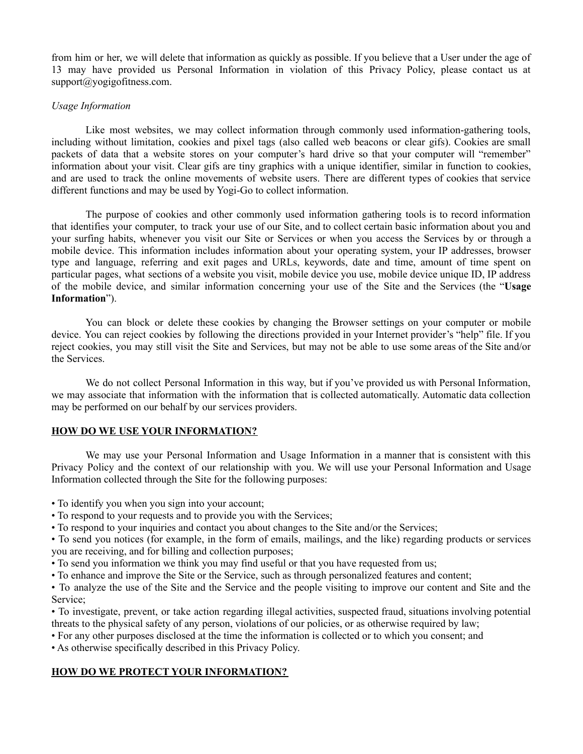from him or her, we will delete that information as quickly as possible. If you believe that a User under the age of 13 may have provided us Personal Information in violation of this Privacy Policy, please contact us at support@yogigofitness.com.

#### *Usage Information*

Like most websites, we may collect information through commonly used information-gathering tools, including without limitation, cookies and pixel tags (also called web beacons or clear gifs). Cookies are small packets of data that a website stores on your computer's hard drive so that your computer will "remember" information about your visit. Clear gifs are tiny graphics with a unique identifier, similar in function to cookies, and are used to track the online movements of website users. There are different types of cookies that service different functions and may be used by Yogi-Go to collect information.

The purpose of cookies and other commonly used information gathering tools is to record information that identifies your computer, to track your use of our Site, and to collect certain basic information about you and your surfing habits, whenever you visit our Site or Services or when you access the Services by or through a mobile device. This information includes information about your operating system, your IP addresses, browser type and language, referring and exit pages and URLs, keywords, date and time, amount of time spent on particular pages, what sections of a website you visit, mobile device you use, mobile device unique ID, IP address of the mobile device, and similar information concerning your use of the Site and the Services (the "**Usage Information**").

You can block or delete these cookies by changing the Browser settings on your computer or mobile device. You can reject cookies by following the directions provided in your Internet provider's "help" file. If you reject cookies, you may still visit the Site and Services, but may not be able to use some areas of the Site and/or the Services.

We do not collect Personal Information in this way, but if you've provided us with Personal Information, we may associate that information with the information that is collected automatically. Automatic data collection may be performed on our behalf by our services providers.

## **HOW DO WE USE YOUR INFORMATION?**

We may use your Personal Information and Usage Information in a manner that is consistent with this Privacy Policy and the context of our relationship with you. We will use your Personal Information and Usage Information collected through the Site for the following purposes:

• To identify you when you sign into your account;

- To respond to your requests and to provide you with the Services;
- To respond to your inquiries and contact you about changes to the Site and/or the Services;

• To send you notices (for example, in the form of emails, mailings, and the like) regarding products or services you are receiving, and for billing and collection purposes;

• To send you information we think you may find useful or that you have requested from us;

• To enhance and improve the Site or the Service, such as through personalized features and content;

• To analyze the use of the Site and the Service and the people visiting to improve our content and Site and the Service;

• To investigate, prevent, or take action regarding illegal activities, suspected fraud, situations involving potential threats to the physical safety of any person, violations of our policies, or as otherwise required by law;

• For any other purposes disclosed at the time the information is collected or to which you consent; and

• As otherwise specifically described in this Privacy Policy.

## **HOW DO WE PROTECT YOUR INFORMATION?**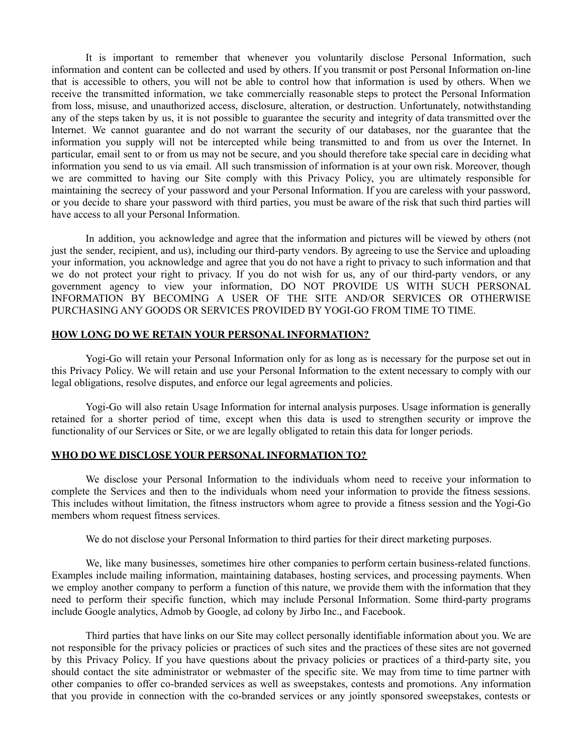It is important to remember that whenever you voluntarily disclose Personal Information, such information and content can be collected and used by others. If you transmit or post Personal Information on-line that is accessible to others, you will not be able to control how that information is used by others. When we receive the transmitted information, we take commercially reasonable steps to protect the Personal Information from loss, misuse, and unauthorized access, disclosure, alteration, or destruction. Unfortunately, notwithstanding any of the steps taken by us, it is not possible to guarantee the security and integrity of data transmitted over the Internet. We cannot guarantee and do not warrant the security of our databases, nor the guarantee that the information you supply will not be intercepted while being transmitted to and from us over the Internet. In particular, email sent to or from us may not be secure, and you should therefore take special care in deciding what information you send to us via email. All such transmission of information is at your own risk. Moreover, though we are committed to having our Site comply with this Privacy Policy, you are ultimately responsible for maintaining the secrecy of your password and your Personal Information. If you are careless with your password, or you decide to share your password with third parties, you must be aware of the risk that such third parties will have access to all your Personal Information.

In addition, you acknowledge and agree that the information and pictures will be viewed by others (not just the sender, recipient, and us), including our third-party vendors. By agreeing to use the Service and uploading your information, you acknowledge and agree that you do not have a right to privacy to such information and that we do not protect your right to privacy. If you do not wish for us, any of our third-party vendors, or any government agency to view your information, DO NOT PROVIDE US WITH SUCH PERSONAL INFORMATION BY BECOMING A USER OF THE SITE AND/OR SERVICES OR OTHERWISE PURCHASING ANY GOODS OR SERVICES PROVIDED BY YOGI-GO FROM TIME TO TIME.

## **HOW LONG DO WE RETAIN YOUR PERSONAL INFORMATION?**

Yogi-Go will retain your Personal Information only for as long as is necessary for the purpose set out in this Privacy Policy. We will retain and use your Personal Information to the extent necessary to comply with our legal obligations, resolve disputes, and enforce our legal agreements and policies.

Yogi-Go will also retain Usage Information for internal analysis purposes. Usage information is generally retained for a shorter period of time, except when this data is used to strengthen security or improve the functionality of our Services or Site, or we are legally obligated to retain this data for longer periods.

## **WHO DO WE DISCLOSE YOUR PERSONAL INFORMATION TO?**

We disclose your Personal Information to the individuals whom need to receive your information to complete the Services and then to the individuals whom need your information to provide the fitness sessions. This includes without limitation, the fitness instructors whom agree to provide a fitness session and the Yogi-Go members whom request fitness services.

We do not disclose your Personal Information to third parties for their direct marketing purposes.

We, like many businesses, sometimes hire other companies to perform certain business-related functions. Examples include mailing information, maintaining databases, hosting services, and processing payments. When we employ another company to perform a function of this nature, we provide them with the information that they need to perform their specific function, which may include Personal Information. Some third-party programs include Google analytics, Admob by Google, ad colony by Jirbo Inc., and Facebook.

Third parties that have links on our Site may collect personally identifiable information about you. We are not responsible for the privacy policies or practices of such sites and the practices of these sites are not governed by this Privacy Policy. If you have questions about the privacy policies or practices of a third-party site, you should contact the site administrator or webmaster of the specific site. We may from time to time partner with other companies to offer co-branded services as well as sweepstakes, contests and promotions. Any information that you provide in connection with the co-branded services or any jointly sponsored sweepstakes, contests or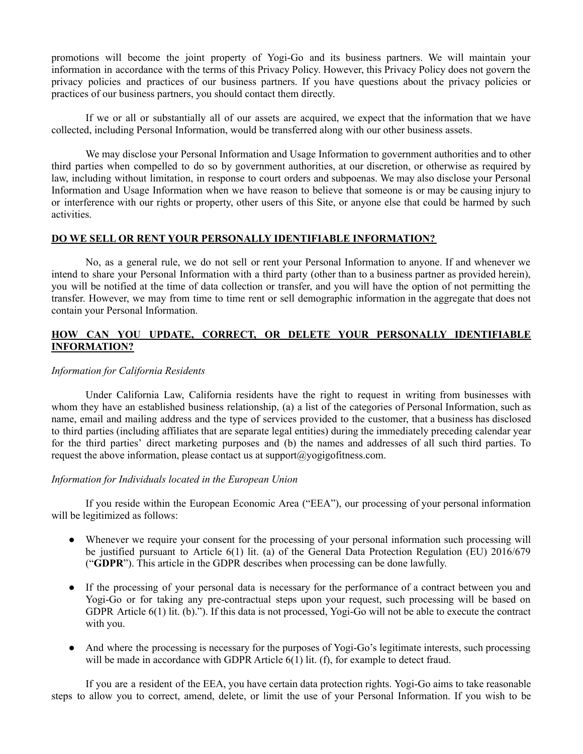promotions will become the joint property of Yogi-Go and its business partners. We will maintain your information in accordance with the terms of this Privacy Policy. However, this Privacy Policy does not govern the privacy policies and practices of our business partners. If you have questions about the privacy policies or practices of our business partners, you should contact them directly.

If we or all or substantially all of our assets are acquired, we expect that the information that we have collected, including Personal Information, would be transferred along with our other business assets.

We may disclose your Personal Information and Usage Information to government authorities and to other third parties when compelled to do so by government authorities, at our discretion, or otherwise as required by law, including without limitation, in response to court orders and subpoenas. We may also disclose your Personal Information and Usage Information when we have reason to believe that someone is or may be causing injury to or interference with our rights or property, other users of this Site, or anyone else that could be harmed by such activities.

## **DO WE SELL OR RENT YOUR PERSONALLY IDENTIFIABLE INFORMATION?**

No, as a general rule, we do not sell or rent your Personal Information to anyone. If and whenever we intend to share your Personal Information with a third party (other than to a business partner as provided herein), you will be notified at the time of data collection or transfer, and you will have the option of not permitting the transfer. However, we may from time to time rent or sell demographic information in the aggregate that does not contain your Personal Information.

## **HOW CAN YOU UPDATE, CORRECT, OR DELETE YOUR PERSONALLY IDENTIFIABLE INFORMATION?**

#### *Information for California Residents*

Under California Law, California residents have the right to request in writing from businesses with whom they have an established business relationship, (a) a list of the categories of Personal Information, such as name, email and mailing address and the type of services provided to the customer, that a business has disclosed to third parties (including affiliates that are separate legal entities) during the immediately preceding calendar year for the third parties' direct marketing purposes and (b) the names and addresses of all such third parties. To request the above information, please contact us at support $(a)$ yogigofitness.com.

#### *Information for Individuals located in the European Union*

If you reside within the European Economic Area ("EEA"), our processing of your personal information will be legitimized as follows:

- Whenever we require your consent for the processing of your personal information such processing will be justified pursuant to Article 6(1) lit. (a) of the General Data Protection Regulation (EU) 2016/679 ("**GDPR**"). This article in the GDPR describes when processing can be done lawfully.
- If the processing of your personal data is necessary for the performance of a contract between you and Yogi-Go or for taking any pre-contractual steps upon your request, such processing will be based on GDPR Article 6(1) lit. (b)."). If this data is not processed, Yogi-Go will not be able to execute the contract with you.
- And where the processing is necessary for the purposes of Yogi-Go's legitimate interests, such processing will be made in accordance with GDPR Article  $6(1)$  lit. (f), for example to detect fraud.

If you are a resident of the EEA, you have certain data protection rights. Yogi-Go aims to take reasonable steps to allow you to correct, amend, delete, or limit the use of your Personal Information. If you wish to be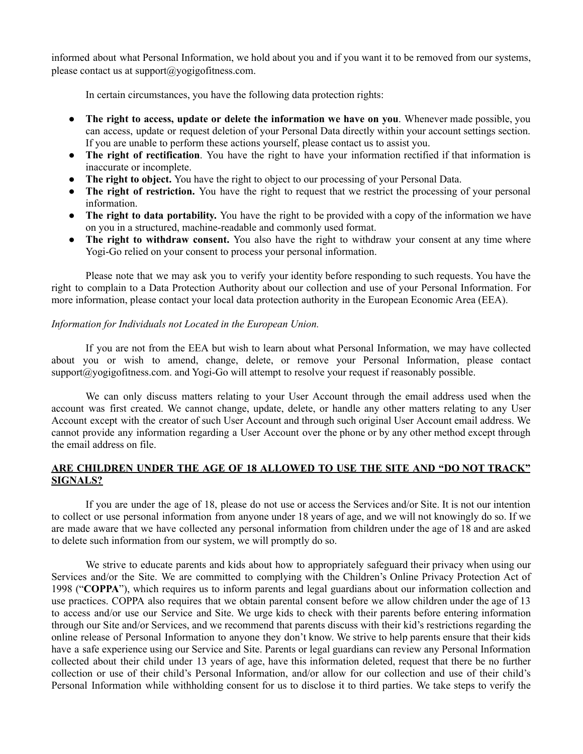informed about what Personal Information, we hold about you and if you want it to be removed from our systems, please contact us at support@yogigofitness.com.

In certain circumstances, you have the following data protection rights:

- **The right to access, update or delete the information we have on you**. Whenever made possible, you can access, update or request deletion of your Personal Data directly within your account settings section. If you are unable to perform these actions yourself, please contact us to assist you.
- **The right of rectification**. You have the right to have your information rectified if that information is inaccurate or incomplete.
- **The right to object.** You have the right to object to our processing of your Personal Data.
- **The right of restriction.** You have the right to request that we restrict the processing of your personal information.
- **The right to data portability.** You have the right to be provided with a copy of the information we have on you in a structured, machine-readable and commonly used format.
- **The right to withdraw consent.** You also have the right to withdraw your consent at any time where Yogi-Go relied on your consent to process your personal information.

Please note that we may ask you to verify your identity before responding to such requests. You have the right to complain to a Data Protection Authority about our collection and use of your Personal Information. For more information, please contact your local data protection authority in the European Economic Area (EEA).

## *Information for Individuals not Located in the European Union.*

If you are not from the EEA but wish to learn about what Personal Information, we may have collected about you or wish to amend, change, delete, or remove your Personal Information, please contact  $support@yogigofitness.com$  and Yogi-Go will attempt to resolve your request if reasonably possible.

We can only discuss matters relating to your User Account through the email address used when the account was first created. We cannot change, update, delete, or handle any other matters relating to any User Account except with the creator of such User Account and through such original User Account email address. We cannot provide any information regarding a User Account over the phone or by any other method except through the email address on file.

## **ARE CHILDREN UNDER THE AGE OF 18 ALLOWED TO USE THE SITE AND "DO NOT TRACK" SIGNALS?**

If you are under the age of 18, please do not use or access the Services and/or Site. It is not our intention to collect or use personal information from anyone under 18 years of age, and we will not knowingly do so. If we are made aware that we have collected any personal information from children under the age of 18 and are asked to delete such information from our system, we will promptly do so.

We strive to educate parents and kids about how to appropriately safeguard their privacy when using our Services and/or the Site. We are committed to complying with the Children's Online Privacy Protection Act of 1998 ("**COPPA**"), which requires us to inform parents and legal guardians about our information collection and use practices. COPPA also requires that we obtain parental consent before we allow children under the age of 13 to access and/or use our Service and Site. We urge kids to check with their parents before entering information through our Site and/or Services, and we recommend that parents discuss with their kid's restrictions regarding the online release of Personal Information to anyone they don't know. We strive to help parents ensure that their kids have a safe experience using our Service and Site. Parents or legal guardians can review any Personal Information collected about their child under 13 years of age, have this information deleted, request that there be no further collection or use of their child's Personal Information, and/or allow for our collection and use of their child's Personal Information while withholding consent for us to disclose it to third parties. We take steps to verify the